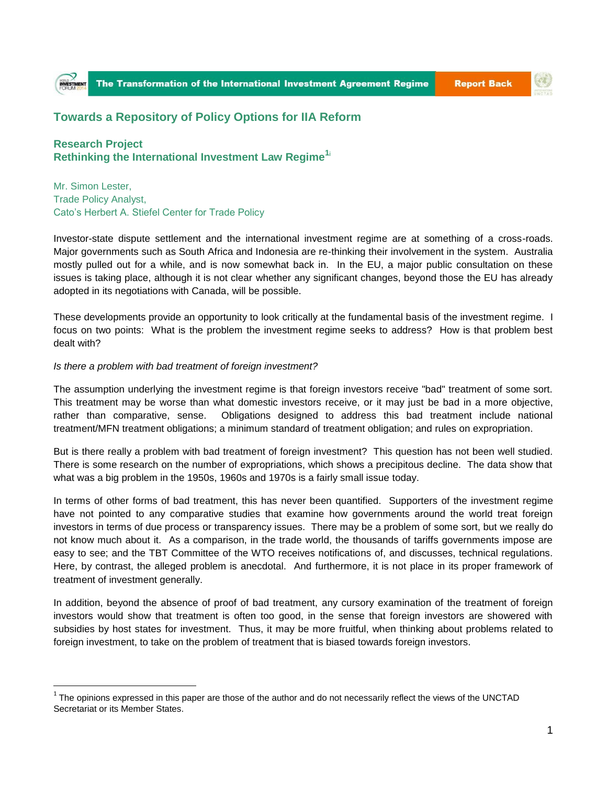

## **Towards a Repository of Policy Options for IIA Reform**

**Research Project Rethinking the International Investment Law Regime1**<sup>i</sup>

Mr. Simon Lester, Trade Policy Analyst, Cato's Herbert A. Stiefel Center for Trade Policy

Investor-state dispute settlement and the international investment regime are at something of a cross-roads. Major governments such as South Africa and Indonesia are re-thinking their involvement in the system. Australia mostly pulled out for a while, and is now somewhat back in. In the EU, a major public consultation on these issues is taking place, although it is not clear whether any significant changes, beyond those the EU has already adopted in its negotiations with Canada, will be possible.

These developments provide an opportunity to look critically at the fundamental basis of the investment regime. I focus on two points: What is the problem the investment regime seeks to address? How is that problem best dealt with?

## *Is there a problem with bad treatment of foreign investment?*

 $\overline{a}$ 

The assumption underlying the investment regime is that foreign investors receive "bad" treatment of some sort. This treatment may be worse than what domestic investors receive, or it may just be bad in a more objective, rather than comparative, sense. Obligations designed to address this bad treatment include national treatment/MFN treatment obligations; a minimum standard of treatment obligation; and rules on expropriation.

But is there really a problem with bad treatment of foreign investment? This question has not been well studied. There is some research on the number of expropriations, which shows a precipitous decline. The data show that what was a big problem in the 1950s, 1960s and 1970s is a fairly small issue today.

In terms of other forms of bad treatment, this has never been quantified. Supporters of the investment regime have not pointed to any comparative studies that examine how governments around the world treat foreign investors in terms of due process or transparency issues. There may be a problem of some sort, but we really do not know much about it. As a comparison, in the trade world, the thousands of tariffs governments impose are easy to see; and the TBT Committee of the WTO receives notifications of, and discusses, technical regulations. Here, by contrast, the alleged problem is anecdotal. And furthermore, it is not place in its proper framework of treatment of investment generally.

In addition, beyond the absence of proof of bad treatment, any cursory examination of the treatment of foreign investors would show that treatment is often too good, in the sense that foreign investors are showered with subsidies by host states for investment. Thus, it may be more fruitful, when thinking about problems related to foreign investment, to take on the problem of treatment that is biased towards foreign investors.

 $1$  The opinions expressed in this paper are those of the author and do not necessarily reflect the views of the UNCTAD Secretariat or its Member States.